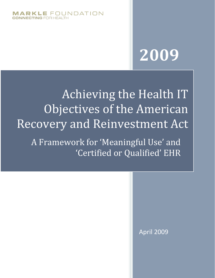

# **2009**

Achieving the Health IT Objectives of the American Recovery and Reinvestment Act

A Framework for 'Meaningful Use' and 'Certified or Qualified' EHR

April 2009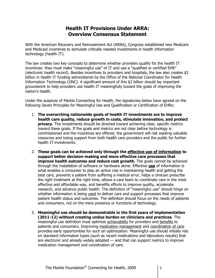## **Health IT Provisions Under ARRA: Overview Consensus Statement**

With the American Recovery and Reinvestment Act (ARRA), Congress established new Medicare and Medicaid incentives to stimulate critically needed investments in health information technology (health IT).

The law creates two key concepts to determine whether providers qualify for the health IT incentives: they must make "meaningful use" of IT and use a "qualified or certified EHR" (electronic health record). Besides incentives to providers and hospitals, the law also creates \$2 billion in health IT funding administered by the Office of the National Coordinator for Health Information Technology (ONC). A significant amount of this \$2 billion should lay important groundwork to help providers use health IT meaningfully toward the goals of improving the nation's health.

Under the auspices of Markle Connecting for Health, the signatories below have agreed on the following Seven Principles for Meaningful Use and Qualification or Certification of EHRs:

- 1. **The overarching nationwide goals of health IT investments are to improve health care quality, reduce growth in costs, stimulate innovation, and protect privacy**. The investments should be directed toward achieving clear, specific metrics toward these goals. If the goals and metrics are not clear before technology is commissioned and the incentives are offered, the government will risk wasting valuable resources and losing support from both health care providers and the public for further health IT investments.
- 2. **These goals can be achieved only through the effective use of information to support better decision-making and more effective care processes that improve health outcomes and reduce cost growth.** The goals cannot be achieved through the installation of software or hardware alone. Effective **use** of information is what enables a consumer to play an active role in maintaining health and getting the best care, prevents a patient from suffering a medical error, helps a clinician prescribe the right treatment at the right time, allows a care team to coordinate care in the most effective and affordable way, and benefits efforts to improve quality, accelerate research, and advance public health. The definition of "meaningful use" should hinge on whether information is being used to deliver care and support processes that improve patient health status and outcomes. The definition should focus on the needs of patients and consumers, not on the mere presence or functions of technology.
- 3. **Meaningful use should be demonstrable in the first years of implementation (2011-12) without creating undue burden on clinicians and practices.** The meaningful use definition must optimize achievability for providers and benefits to patients and consumers. Improving medication management and coordination of care provides early opportunities for such an optimization. Meaningful use should initially rely on standard information types (such as recent medications and laboratory results) that are electronic and already widely adopted — and that can support metrics to improve medication management and coordination of care.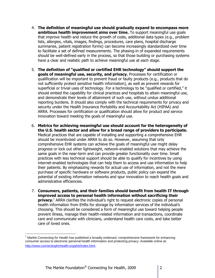- 4. **The definition of meaningful use should gradually expand to encompass more ambitious health improvement aims over time.** To support meaningful use goals that improve health and reduce the growth of costs, additional data types (e.g., problem lists, allergies, vitals, images, findings, procedures, care plans, hospital discharge summaries, patient registration forms) can become increasingly standardized over time to facilitate a set of defined measurements. The phasing-in of expanded requirements should be well-defined early in the process, so that those building or purchasing systems have a clear and realistic path to achieve meaningful use at each stage.
- 5. **The definition of "qualified or certified EHR technology" should support the goals of meaningful use, security, and privacy.** Processes for certification or qualification will be important to prevent fraud or faulty products (e.g., products that do not sufficiently protect sensitive health information), as well as prevent rewards for superficial or trivial uses of technology. For a technology to be "qualified or certified," it should embed the capability for clinical practices and hospitals to attain meaningful use, and demonstrate their levels of attainment of such use, without undue additional reporting burdens. It should also comply with the technical requirements for privacy and security under the Health Insurance Portability and Accountability Act (HIPAA) and ARRA. Processes for certification or qualification should allow for product and service innovation toward meeting the goals of meaningful use.
- 6. **Metrics for achieving meaningful use should account for the heterogeneity of the U.S. health sector and allow for a broad range of providers to participate.**  Medical practices that are capable of installing and supporting a comprehensive EHR should be incentivized under ARRA to do so. However, assuming that only comprehensive EHR systems can achieve the goals of meaningful use might delay progress or lock out other lightweight, network-enabled solutions that may achieve the same goals in the near-term and can provide greater functionality over time. Small practices with less technical support should be able to qualify for incentives by using internet-enabled technologies that can help them to access and use information to help their patients. By emphasizing rewards for actual use of information, and not the mere purchase of specific hardware or software products, public policy can expand the potential of existing information networks and spur innovation to reach health goals and administrative efficiencies.
- 7. **Consumers, patients, and their families should benefit from health IT through improved access to personal health information without sacrificing their privacy.**<sup>1</sup> ARRA clarifies the individual's right to request electronic copies of personal health information from EHRs for storage by information services of the individual's choosing. This should be considered a form of meaningful use toward helping people prevent illness, manage their health-related information and transactions, coordinate care and communicate with clinicians, understand health care costs, and take better care of loved ones.

 $\overline{a}$  $<sup>1</sup>$  Markle Connecting for Health has published a broadly endorsed, comprehensive framework for enhancing</sup> consumer access to electronic personal health information and protecting privacy. Available online at: <http://www.connectingforhealth.org/phti/index.html>.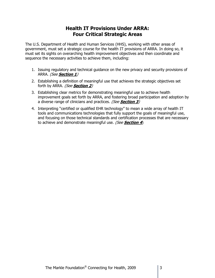## **Health IT Provisions Under ARRA: Four Critical Strategic Areas**

The U.S. Department of Health and Human Services (HHS), working with other areas of government, must set a strategic course for the health IT provisions of ARRA. In doing so, it must set its sights on overarching health improvement objectives and then coordinate and sequence the necessary activities to achieve them, including:

- 1. Issuing regulatory and technical guidance on the new privacy and security provisions of ARRA. (See **Section 1**)
- 2. Establishing a definition of meaningful use that achieves the strategic objectives set forth by ARRA. (See **Section 2**)
- 3. Establishing clear metrics for demonstrating meaningful use to achieve health improvement goals set forth by ARRA, and fostering broad participation and adoption by a diverse range of clinicians and practices. (See **Section 3**)
- 4. Interpreting "certified or qualified EHR technology" to mean a wide array of health IT tools and communications technologies that fully support the goals of meaningful use, and focusing on those technical standards and certification processes that are necessary to achieve and demonstrate meaningful use. (See **Section 4**)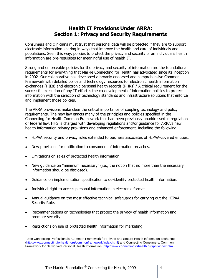## **Health IT Provisions Under ARRA: Section 1: Privacy and Security Requirements**

Consumers and clinicians must trust that personal data will be protected if they are to support electronic information-sharing in ways that improve the health and care of individuals and populations. Seen this way, policies to protect the privacy and security of an individual's health information are pre-requisites for meaningful use of health IT.

Strong and enforceable policies for the privacy and security of information are the foundational requirements for everything that Markle Connecting for Health has advocated since its inception in 2002. Our collaborative has developed a broadly endorsed and comprehensive Common Framework with detailed policy and technology resources for electronic health information exchanges (HIEs) and electronic personal health records (PHRs).<sup>2</sup> A critical requirement for the successful execution of any IT effort is the co-development of information policies to protect information with the selection of technology standards and infrastructure solutions that enforce and implement those policies.

The ARRA provisions make clear the critical importance of coupling technology and policy requirements. The new law enacts many of the principles and policies specified in the Connecting for Health Common Framework that had been previously unaddressed in regulation or federal law. HHS is charged with developing regulations and/or guidance for ARRA's new health information privacy provisions and enhanced enforcement, including the following:

- HIPAA security and privacy rules extended to business associates of HIPAA-covered entities.
- New provisions for notification to consumers of information breaches.
- Limitations on sales of protected health information.
- New guidance on "minimum necessary" (i.e., the notion that no more than the necessary information should be disclosed).
- Guidance on implementation specification to de-identify protected health information.
- Individual right to access personal information in electronic format.
- Annual guidance on the most effective technical safeguards for carrying out the HIPAA Security Rule.
- Recommendations on technologies that protect the privacy of health information and promote security.
- Restrictions on use of protected health information for marketing.

 $\overline{a}$  $2$  See Connecting Professionals: Common Framework for Private and Secure Health Information Exchange [\(http://www.connectingforhealth.org/commonframework/index.html\)](http://www.connectingforhealth.org/commonframework/index.html) and Connecting Consumers: Common Framework for Networked Personal Health Information [\(http://www.connectingforhealth.org/phti/index.html\)](http://www.connectingforhealth.org/phti/index.html).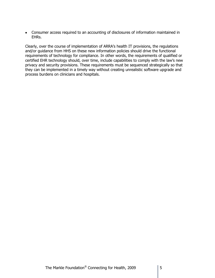$\bullet$ Consumer access required to an accounting of disclosures of information maintained in EHRs.

Clearly, over the course of implementation of ARRA's health IT provisions, the regulations and/or guidance from HHS on these new information policies should drive the functional requirements of technology for compliance. In other words, the requirements of qualified or certified EHR technology should, over time, include capabilities to comply with the law's new privacy and security provisions. These requirements must be sequenced strategically so that they can be implemented in a timely way without creating unrealistic software upgrade and process burdens on clinicians and hospitals.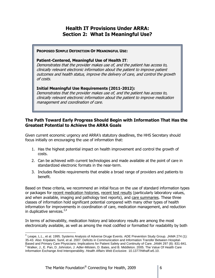## **Health IT Provisions Under ARRA: Section 2: What Is Meaningful Use?**

#### **PROPOSED SIMPLE DEFINITION OF MEANINGFUL USE:**

#### **Patient-Centered, Meaningful Use of Health IT**:

Demonstrates that the provider makes use of, and the patient has access to, clinically relevant electronic information about the patient to improve patient outcomes and health status, improve the delivery of care, and control the growth of costs.

#### **Initial Meaningful Use Requirements (2011-2012):**

Demonstrates that the provider makes use of, and the patient has access to, clinically relevant electronic information about the patient to improve medication management and coordination of care.

## **The Path Toward Early Progress Should Begin with Information That Has the Greatest Potential to Achieve the ARRA Goals**

Given current economic urgency and ARRA's statutory deadlines, the HHS Secretary should focus initially on encouraging the use of information that:

- 1. Has the highest potential impact on health improvement and control the growth of costs.
- 2. Can be achieved with current technologies and made available at the point of care in standardized electronic formats in the near-term.
- 3. Includes flexible requirements that enable a broad range of providers and patients to benefit.

Based on these criteria, we recommend an initial focus on the use of standard information types or packages for recent medication histories, recent test results (particularly laboratory values, and when available, imaging and pathology text reports), and care summaries. These three classes of information hold significant potential compared with many other types of health information for improvements in coordination of care, medication management, and reduction in duplicative services. $3,4$ 

In terms of achievability, medication history and laboratory results are among the most electronically available, as well as among the most codified or formatted for readability by both

 $\overline{\phantom{a}}$ 

<sup>3</sup> Leape, L.L., et al. 1995. Systems Analysis of Adverse Druge Events. ADE Prevention Study Group. *JAMA* 274 (1): 35-43. Also: Kripalani, Sunil, et al. 2007. Deficits in Communication and Information Transfer Between Hospital-Based and Primary Care Physicians: Implications for Patient Safety and Continuity of Care. *JAMA* 297 (8): 831-841.  $4$  Walker, J., E. Pan, D. Johnston, J. Adler-Milstein, D. Bates, and B. Middleton. 2005. The Value Of Health Care Information Exchange And Interoperability. *Health Affairs Web Exclusive*. 10.1377/hlthaff.w5.10.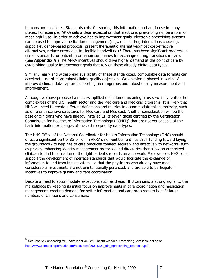humans and machines. Standards exist for sharing this information and are in use in many places. For example, ARRA sets a clear expectation that electronic prescribing will be a form of meaningful use. In order to achieve health improvement goals, electronic prescribing systems can be used to improve medication management (e.g., enable drug-interactions checking, support evidence-based protocols, present therapeutic alternatives/most cost-effective alternatives, reduce errors due to illegible handwriting).<sup>5</sup> There has been significant progress in use of standards for patient information summaries for exchange during transitions in care. (See **Appendix A**.) The ARRA incentives should drive higher demand at the point of care by establishing quality-improvement goals that rely on these already-digital data types.

Similarly, early and widespread availability of these standardized, computable data formats can accelerate use of more robust clinical quality objectives. We envision a phased-in series of improved clinical data capture supporting more rigorous and robust quality measurement and improvement.

Although we have proposed a much-simplified definition of meaningful use, we fully realize the complexities of the U.S. health sector and the Medicare and Medicaid programs. It is likely that HHS will need to create different definitions and metrics to accommodate this complexity, such as different incentive structures for Medicare and Medicaid. Another consideration will be the base of clinicians who have already installed EHRs (even those certified by the Certification Commission for Healthcare Information Technology (CCHIT)) that are not yet capable of the basic information exchanges of these three priority data types.

The HHS Office of the National Coordinator for Health Information Technology (ONC) should direct a significant part of \$2 billion in ARRA's non-entitlement health IT funding toward laying the groundwork to help health care practices connect securely and effectively to networks, such as privacy-enhancing identity management protocols and directories that allow an authorized clinician to find the location of the right patient's records on a network. For example, HHS could support the development of interface standards that would facilitate the exchange of information to and from these systems so that the physicians who already have made considerable investments are not unintentionally penalized, and are able to participate in incentives to improve quality and care coordination.

Despite a need to accommodate exceptions such as these, HHS can send a strong signal to the marketplace by keeping its initial focus on improvements in care coordination and medication management, creating demand for better information and care processes to benefit large numbers of clinicians and consumers.

<sup>5</sup> See Markle Connecting for Health letter on CMS incentives for e-prescribing. Available online at: [http://www.connectingforhealth.org/resources/20081229\\_cfh\\_eprescribing\\_response.pdf](http://www.connectingforhealth.org/resources/20081229_cfh_eprescribing_response.pdf).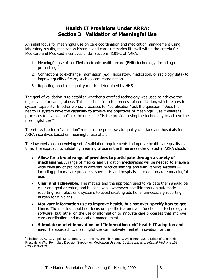## **Health IT Provisions Under ARRA: Section 3: Validation of Meaningful Use**

An initial focus for meaningful use on care coordination and medication management using laboratory results, medication histories and care summaries fits well within the criteria for Medicare and Medicaid incentives under Sections 4101-2 of ARRA:

- 1. Meaningful use of certified electronic health record (EHR) technology, including eprescribing.<sup>6</sup>
- 2. Connections to exchange information (e.g., laboratory, medication, or radiology data) to improve quality of care, such as care coordination.
- 3. Reporting on clinical quality metrics determined by HHS.

The goal of validation is to establish whether a certified technology was used to achieve the objectives of meaningful use. This is distinct from the process of certification, which relates to system capability. In other words, processes for "certification" ask the question: "Does the health IT system have the capability to achieve the objectives of meaningful use?" whereas processes for "validation" ask the question: "Is the provider using the technology to achieve the meaningful use?"

Therefore, the term "validation" refers to the processes to qualify clinicians and hospitals for ARRA incentives based on meaningful use of IT.

The law envisions an evolving set of validation requirements to improve health care quality over time. The approach to validating meaningful use in the three areas designated in ARRA should:

- **Allow for a broad range of providers to participate through a variety of mechanisms.** A range of metrics and validation mechanisms will be needed to enable a wide diversity of providers in different practice settings and with varying systems including primary care providers, specialists and hospitals — to demonstrate meaningful use.
- **Clear and achievable.** The metrics and the approach used to validate them should be clear and goal-oriented, and be achievable whenever possible through automatic reporting from electronic systems to avoid creating additional unnecessary reporting burden for clinicians.
- **Motivate information use to improve health, but not over-specify how to get there.** The metrics should not focus on specific features and functions of technology or software, but rather on the use of information to innovate care processes that improve care coordination and medication management.
- **Stimulate market innovation and "information rich" health IT adoption and use.** The approach to meaningful use can motivate market innovation for the

 $\overline{a}$ <sup>6</sup> Fischer, M. A., C. Vogeli, M. Stedman, T. Ferris, M. Brookhart, and J. Weissman. 2008. Effect of Electronic Prescribing With Formulary Decision Support on Medication Use and Cost. *Archives of Internal Medicine* 168 (22):2433-2439.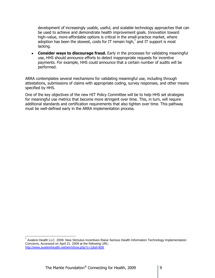development of increasingly usable, useful, and scalable technology approaches that can be used to achieve and demonstrate health improvement goals. Innovation toward high–value, more-affordable options is critical in the small-practice market, where adoption has been the slowest, costs for IT remain high,<sup>7</sup> and IT support is most lacking.

**Consider ways to discourage fraud.** Early in the processes for validating meaningful use, HHS should announce efforts to detect inappropriate requests for incentive payments. For example, HHS could announce that a certain number of audits will be performed.

ARRA contemplates several mechanisms for validating meaningful use, including through attestations, submissions of claims with appropriate coding, survey responses, and other means specified by HHS.

One of the key objectives of the new HIT Policy Committee will be to help HHS set strategies for meaningful use metrics that become more stringent over time. This, in turn, will require additional standards and certification requirements that also tighten over time. This pathway must be well-defined early in the ARRA implementation process.

 7 Avalere Health LLC. 2009. New Stimulus Incentives Raise Serious Health Information Technology Implementation Concerns, Accessed on April 21, 2009 at the following URL: [http://www.avalerehealth.net/wm/show.php?c=1&id=808.](http://www.avalerehealth.net/wm/show.php?c=1&id=808)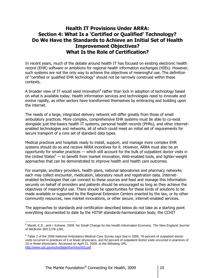## **Health IT Provisions Under ARRA: Section 4: What Is a "Certified or Qualified" Technology? Do We Have the Standards to Achieve an Initial Set of Health Improvement Objectives? What Is the Role of Certification?**

In recent years, much of the debate around health IT has focused on existing electronic health record (EHR) software or ambitions for regional health information exchanges (HIEs). However, such systems are not the only way to achieve the objectives of meaningful use. The definition of "certified or qualified EHR technology" should not be narrowly construed within these contexts.

A broader view of IT would seed innovation $^8$  rather than lock in adoption of technology based on what is available today. Health information services and technologies need to innovate and evolve rapidly, as other sectors have transformed themselves by embracing and building upon the internet.

The needs of a large, integrated delivery network will differ greatly from those of small ambulatory practices. More complex, comprehensive EHR systems must be able to co-exist alongside just-the-basics health IT systems, personal health records (PHRs), and other internetenabled technologies and networks, all of which could meet an initial set of requirements for secure transport of a core set of standard data types.

Medical practices and hospitals ready to install, support, and manage more complex EHR systems should do so and receive ARRA incentives for it. However, ARRA must also be an opportunity for smaller practices — which still account for the bulk of outpatient doctor visits in the United States $9 -$  to benefit from market innovation, Web-enabled tools, and lighter-weight approaches that can be demonstrated to improve health and health care outcomes.

For example, ancillary providers, health plans, national laboratories and pharmacy networks each may collect encounter, medication, laboratory result and registration data. Internetenabled technologies that can connect to these sources and feed and manage this information securely on behalf of providers and patients should be encouraged so long as they achieve the objectives of meaningful use. There should be opportunities for these kinds of solutions to be made available or supported by the Regional Extension Centers enacted by the law, or by other community resources, new market innovations, or other secure, internet-enabled services.

The approaches to standards and certification described below do not take as a starting point everything documented to date by the HITSP standards-harmonization body, the CCHIT

<sup>8</sup> Mandl, K.D., and I. Kohane. 2009. No Small Change for the Health Information Economy. *The New England Journal of Medicine* 360:1278-1281.

 $9$  Table 2 of the 2006 National Ambulatory Medical Care Survey says that in 2006, 76 percent of outpatient doctor visits occurred in practices of 5 or fewer physicians, and 92 percent of outpatient doctor visits occurred in practices of 10 or fewer physicians. Accessed on April 21, 2009, at the following URL: [http://www.cdc.gov/nchs/data/nhsr/nhsr003.pdf.](http://www.cdc.gov/nchs/data/nhsr/nhsr003.pdf)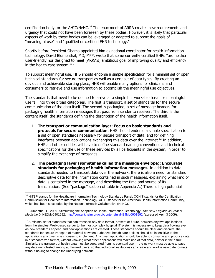certification body, or the AHIC/NeHC.<sup>10</sup> The enactment of ARRA creates new requirements and urgency that could not have been foreseen by these bodies. However, it is likely that particular aspects of work by these bodies can be leveraged or adapted to support the goals of "meaningful use" and "qualified or certified EHR technology."

Shortly before President Obama appointed him as national coordinator for health information technology, David Blumenthal, MD, MPP, wrote that some currently certified EHRs "are neither user-friendly nor designed to meet [ARRA's] ambitious goal of improving quality and efficiency in the health care system."<sup>11</sup>

To support meaningful use, HHS should endorse a simple specification for a minimal set of open technical standards for secure transport as well as a core set of data types. By creating an obvious and achievable starting place, HHS will enable many options for clinicians and consumers to retrieve and use information to accomplish the meaningful use objectives.

The standards that need to be defined to arrive at a simple but workable basis for meaningful use fall into three broad categories. The first is transport, a set of standards for the secure communication of the data itself. The second is packaging, a set of message headers for packaging health information messages that pass from sender to receiver. The third is the content itself, the standards defining the description of the health information itself.

- 1. **The transport or communication layer: Focus on basic standards and protocols for secure communication**. HHS should endorse a simple specification for a set of open standards necessary for secure transport of data, and for defining interfaces between applications exchanging this data over the internet.<sup>12</sup> In addition, HHS and other entities will have to define standard naming conventions and technical specifications for the use of these services by all participants in the system, in order to simplify the exchange of messages.
- 2. **The packaging layer (sometimes called the message envelope): Encourage standards for packaging of health information messages.** In addition to data standards needed to transport data over the network, there is also a need for standard descriptive data for the information contained in such messages, explaining what kind of data is contained in the message, and describing the time and source of its transmission. (See "package" section of table in Appendix A.) There is high potential

 $\overline{a}$ <sup>10</sup> HITSP stands for the Healthcare Information Technology Standards Panel. CCHIT stands for the Certification Commission for Healthcare Information Technology. AHIC stands for the American Health Information Community, which has been succeeded by the National eHealth Collaborative (NeHC).

<sup>11</sup> Blumenthal, D. 2009. Stimulating the Adoption of Health Information Technology. *The New England Journal of Medicine* 0: NEJMp0901592.<http://content.nejm.org/cgi/content/full/NEJMp0901592> (accessed April 3 2009).

 $12$  A minimal set of standards that can transport any data format, present or future, between any two applications, from the simplest Web-based server to the most complex hospital IT system, is necessary to keep data flowing even as new standards appear, and new applications are created. These standards should be clear and discrete: the standards for secure transport of material between authorized health care entities should be insensitive to the applications any given site chooses to implement. Any given application should be able to consume and produce data in a standardized format, without knowing what other applications will make use of that data, now or in the future. Similarly, the transport of health data must be separated from its eventual use — the network must be able to pass any data unmolested among authorized users, so that individual institutions can create and evolve new data formats without having to change the underlying network.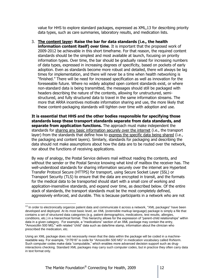value for HHS to explore standard packages, expressed as XML,13 for describing priority data types, such as care summaries, laboratory results, and medication lists.

3. **The content layer: Raise the bar for data standards (i.e., the health information content itself) over time**. It is important that the proposed work of 2009-2012 be achievable in this short timeframe. For that reason, the required content standards should be the simplest and most available at launch, focusing on priority information types. Over time, the bar should be gradually raised for increasing numbers of data types, expressed in increasing degrees of specificity, based on pockets of early adoption. Even as standards become more robust and detailed, there will always be lag times for implementation, and there will never be a time when health networking is "finished." There will be need for increased specification as well as innovation for the foreseeable future. Where no widely adopted open content standards exist, or where non-standard data is being transmitted, the messages should still be packaged with headers describing the nature of the contents, allowing for unstructured, semistructured, and fully structured data to travel in the same information streams. The more that ARRA incentives motivate information sharing and use, the more likely that these content-packaging standards will tighten over time with adoption and use.

**It is essential that HHS and the other bodies responsible for specifying those standards keep these transport standards separate from data standards, and separate from application functions.** The approach must make independent the standards for sharing any basic information securely over the internet (i.e., the transport layer) from the standards that define how to express the specific data being shared (i.e., the packaging and content layers). Similarly, standards for packaging and describing the data should not make assumptions about how the data are to be routed over the network, nor about the functions of receiving applications.

By way of analogy, the Postal Service delivers mail without reading the contents, and without the sender or the Postal Service knowing what kind of mailbox the receiver has. The well-understood standards for sharing information securely over the internet are Hypertext Transfer Protocol Secure (HTTPS) for transport, using Secure Socket Layer (SSL) or Transport Security (TLS) to ensure that the data are encrypted in transit, and the formats for the medical data to be transported should start with a small core of working and application-insensitive standards, and expand over time, as described below. Of the entire stack of standards, the transport standards must be the most completely defined, aggressively enforced, and durable. This is because participants in a network who are not

<sup>&</sup>lt;sup>13</sup> In order to electronically organize patient data and communicate it across a network, "XML packages" have been developed and deployed. At its most basic level, an XML (extensible markup language) package is simply a file that contains a set of structured data categories (e.g. patient demographics, medications, test results, allergies, conditions, etc.) in a hierarchical format. This hierarchy allows for the expression of "parent-child relationships" within data in a given category. For example, a "medications" section of an XML package may contain the entry, "Amoxicillin 500 MG," with related "child" data such as date/time stamp, information about the clinician who prescribed the medication, etc.

Using an XML package does not necessarily mean that the data within the package will be coded in a machinereadable way. For example, "317616" is code for "Amoxicillin 500 MG" in medication vocabulary called RxNorm. Such computer codes make data "computable," which enables more advanced decision support such as druginteractions checking. Standard XML packages may carry such computer codes, but in practice they often carry data in text format only.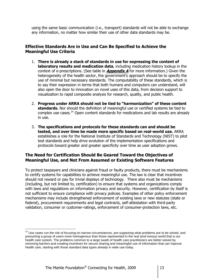using the same basic communication (i.e., transport) standards will not be able to exchange any information, no matter how similar their use of other data standards may be.

## **Effective Standards Are in Use and Can Be Specified to Achieve the Meaningful Use Criteria**

- 1. **There is already a stack of standards in use for expressing the content of laboratory results and medication data**, including medication history lookup in the context of e-prescriptions. (See table in **Appendix A** for more information.) Given the heterogeneity of the health sector, the government's approach should be to specify the use of minimal but necessary standards. The computability of these standards, which is to say their expression in terms that both humans and computers can understand, will also open the door to innovation on novel uses of this data, from decision support to visualization to rapid composite analysis for research, quality, and public health.
- 2. **Progress under ARRA should not be tied to "harmonization" of these content standards.** Nor should the definition of meaningful use or certified systems be tied to complex use cases.<sup>14</sup> Open content standards for medications and lab results are already in use.
- 3. **The specifications and protocols for these standards can and should be tested, and over time be made more specific based on real-world use.** ARRA establishes a role for the National Institute of Standards and Technology (NIST) to pilot test standards and help drive evolution of the implementation specifications and protocols toward greater and greater specificity over time as user adoption grows.

## **The Need for Certification Should Be Geared Toward the Objectives of Meaningful Use, and Not From Assumed or Existing Software Features**

To protect taxpayers and clinicians against fraud or faulty products, there must be mechanisms to certify systems for capabilities to achieve meaningful use. The law is clear that incentives should not reward or pay for trivial displays of technology. There also must be mechanisms (including, but not limited to, certification) to ensure that systems and organizations comply with laws and regulations on information privacy and security. However, certification by itself is not sufficient to ensure compliance with privacy policies. Examples of other policy enforcement mechanisms may include strengthened enforcement of existing laws or new statutes (state or federal), procurement requirements and legal contracts, self-attestation with third-party validation, consumer or customer-ratings, enforcement of consumer-protection laws, etc.

<sup>&</sup>lt;sup>14</sup> Use cases run the risk of focusing on narrow circumstances, pre-supposing what problems are to be solved, and presuming a group of users more homogenous than those represented in the real (and messy) world that is our health care system. The problems common to a large swath of health care practitioners are better solved by removing barriers and creating incentives for secure sharing and meaningful use of information that can improve health care, starting with those standard data types already in wide use today.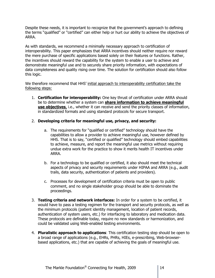Despite these needs, it is important to recognize that the government's approach to defining the terms "qualified" or "certified" can either help or hurt our ability to achieve the objectives of ARRA.

As with standards, we recommend a minimally necessary approach to certification of interoperability. This paper emphasizes that ARRA incentives should neither require nor reward the mere purchase of specific applications based solely on their features or functions. Rather, the incentives should reward the capability for the system to enable a user to achieve and demonstrate meaningful use and to securely share priority information, with expectations of data completeness and quality rising over time. The solution for certification should also follow this logic.

We therefore recommend that HHS' initial approach to interoperability certification take the following steps:

1. **Certification for interoperability:** One key thrust of certification under ARRA should be to determine whether a system can **share information to achieve meaningful use objectives**, i.e., whether it can receive and send the priority classes of information, in standardized formats and using standard protocols for secure transport.

#### 2. **Developing criteria for meaningful use, privacy, and security:**

- a. The requirements for "qualified or certified" technology should have the capabilities to allow a provider to achieve meaningful use, however defined by HHS. That is to say, "certified or qualified" technology should embed capabilities to achieve, measure, and report the meaningful use metrics without requiring undue extra work for the practice to show it merits health IT incentives under ARRA.
- b. For a technology to be qualified or certified, it also should meet the technical aspects of privacy and security requirements under HIPAA and ARRA (e.g., audit trails, data security, authentication of patients and providers).
- c. Processes for development of certification criteria must be open to public comment, and no single stakeholder group should be able to dominate the proceedings.
- 3. **Testing criteria and network interfaces:** In order for a system to be certified, it would have to pass a testing regimen for the transport and security protocols, as well as the minimum protocols (patient identity management, location of patient records, authentication of system users, etc.) for interfacing to laboratory and medication data. These protocols are definable today, require no new standards or harmonization, and could be validated using Web-enabled testing environments.
- 4. **Pluralistic approach to applications**: This certification testing step should be open to a broad range of applications (e.g., EHRs, PHRs, HIEs, e-prescribing, Web-browserbased applications, etc.) that are capable of achieving the goals of meaningful use.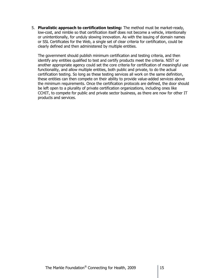5. **Pluralistic approach to certification testing:** The method must be market-ready, low-cost, and nimble so that certification itself does not become a vehicle, intentionally or unintentionally, for unduly slowing innovation. As with the issuing of domain names or SSL Certificates for the Web, a single set of clear criteria for certification, could be clearly defined and then administered by multiple entities.

The government should publish minimum certification and testing criteria, and then identify any entities qualified to test and certify products meet the criteria. NIST or another appropriate agency could set the core criteria for certification of meaningful use functionality, and allow multiple entities, both public and private, to do the actual certification testing. So long as these testing services all work on the same definition, these entities can then compete on their ability to provide value-added services above the minimum requirements. Once the certification protocols are defined, the door should be left open to a plurality of private certification organizations, including ones like CCHIT, to compete for public and private sector business, as there are now for other IT products and services.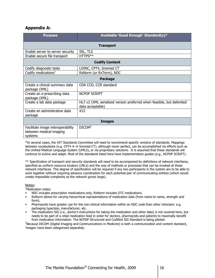#### **Appendix A:**

| <b>Purpose</b>                                                          | Available 'Good Enough' Standard(s)*                                                      |
|-------------------------------------------------------------------------|-------------------------------------------------------------------------------------------|
| <b>Transport</b>                                                        |                                                                                           |
| Enable server to server security                                        | SSL, TLS                                                                                  |
| Enable secure file transport                                            | HTTPS**                                                                                   |
| <b>Codify Content</b>                                                   |                                                                                           |
| Codify diagnostic tests                                                 | LOINC, CPT4, Snomed CT                                                                    |
| Codify medications <sup>1</sup>                                         | RxNorm (or RxTerm), NDC                                                                   |
| <b>Package</b>                                                          |                                                                                           |
| Create a clinical summary data<br>package (XML)                         | CDA CCD, CCR standard                                                                     |
| Create an e-prescribing data<br>package (XML)                           | <b>NCPDP SCRIPT</b>                                                                       |
| Create a lab data package                                               | HL7 v2 (XML serialized version preferred when feasible, but delimited<br>data acceptable) |
| Create an administrative data<br>package                                | X <sub>12</sub>                                                                           |
| <b>Images</b>                                                           |                                                                                           |
| Facilitate image interoperability<br>between medical imaging<br>systems | DICOM <sup>2</sup>                                                                        |

\*In several cases, the HIT Standards Committee will need to recommend specific versions of standards. Mappings between vocabularies (e.g. CPT4  $\leftrightarrow$  Snomed CT), although never perfect, can be accomplished via efforts such as the Unified Medical Language System (UMLS), or via proprietary solutions. It is assumed that these standards will continue to evolve and adapt. Most of the standards listed here have implementation guides (e.g., NCPDP SCRIPT).

\*\* Specification of transport and security standards will need to be accompanied by definitions of network interfaces, specified as uniform resource locators (URLs) and the way of methods or processes that can be invoked at these network interfaces. This degree of specification will be required if any two participants in the system are to be able to work together without requiring advance coordination for each potential pair of communicating entities (which would create impossible complexity as the network grows large).

#### Notes:

<sup>1</sup>Medication notes:

- NDC includes prescription medications only; RxNorm includes OTC medications.
- RxNorm allows for varying hierarchical representations of medication data (from name to name, strength and form).
- Pharmacists have greater use for the non-clinical information within an NDC code than other clinicians: e.g. packaging type/size, manufacturer, etc.
- The medication SIG (i.e., doctor's instructions for taking the medication and other data) is not covered here, but needs to be part of a retail medication feed in order for doctors, pharmacists and patients to maximally benefit from medication information. The NCPDP Structured and Codified SIG Standard is being piloted.

<sup>2</sup>Because DICOM (Digital Imaging and Communications in Medicine) is both a communication and content standard, 'images' have been categorized separately.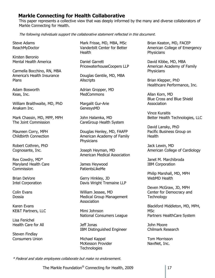## **Markle Connecting for Health Collaborative**

This paper represents a collective view that was deeply informed by the many and diverse collaborators of Markle Connecting for Health.

The following individuals support the collaborative statement reflected in this document.

Steve Adams ReachMyDoctor

Kirsten Beronio Mental Health America

Carmella Bocchino, RN, MBA America's Health Insurance Plans

Adam Bosworth Keas, Inc.

William Braithwaite, MD, PhD Anakam Inc.

Mark Chassin, MD, MPP, MPH The Joint Commission

Maureen Corry, MPH Childbirth Connection

Robert Cothren, PhD Cognosante, Inc.

Rex Cowdry, MD\* Maryland Health Care Commission

Brian DeVore Intel Corporation

Colin Evans Dossia

Karen Evans KE&T Partners, LLC

Lisa Fenichel Health Care for All

Steven Findlay Consumers Union

Mark Frisse, MD, MBA, MSc Vanderbilt Center for Better **Health** 

Daniel Garrett PricewaterhouseCoopers LLP

Douglas Gentile, MD, MBA **Allscripts** 

Adrian Gropper, MD **MedCommons** 

Margalit Gur-Arie GenesysMD

John Halamka, MD CareGroup Health System

Douglas Henley, MD, FAAFP American Academy of Family **Physicians** 

Joseph Heyman, MD American Medical Association

James Heywood PatientsLikeMe

Gerry Hinkley, JD Davis Wright Tremaine LLP

William Jessee, MD Medical Group Management Association

Mimi Johnson National Consumers League

Jeff Jonas IBM Distinguished Engineer

Michael Kappel McKesson Provider **Technologies** 

Brian Keaton, MD, FACEP American College of Emergency **Physicians** 

David Kibbe, MD, MBA American Academy of Family **Physicians** 

Brian Klepper, PhD Healthcare Performance, Inc.

Allan Korn, MD Blue Cross and Blue Shield **Association** 

Vince Kuraitis Better Health Technologies, LLC

David Lansky, PhD Pacific Business Group on **Health** 

Jack Lewin, MD American College of Cardiology

Janet M. Marchibroda IBM Corporation

Philip Marshall, MD, MPH WebMD Health

Deven McGraw, JD, MPH Center for Democracy and **Technology** 

Blackford Middleton, MD, MPH, MSc Partners HealthCare System

John Moore Chilmark Research

Tom Morrisson NaviNet, Inc.

\* Federal and state employees collaborate but make no endorsement.

The Markle Foundation® Connecting for Health, 2009  $\parallel$  17